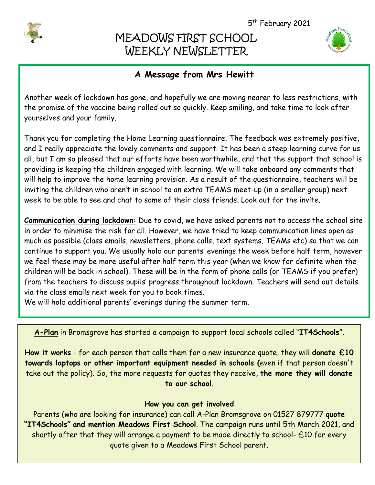

I

# MEADOWS FIRST SCHOOL WEEKLY NEWSLETTER



# **A Message from Mrs Hewitt**

Another week of lockdown has gone, and hopefully we are moving nearer to less restrictions, with the promise of the vaccine being rolled out so quickly. Keep smiling, and take time to look after yourselves and your family.

Thank you for completing the Home Learning questionnaire. The feedback was extremely positive, and I really appreciate the lovely comments and support. It has been a steep learning curve for us all, but I am so pleased that our efforts have been worthwhile, and that the support that school is providing is keeping the children engaged with learning. We will take onboard any comments that will help to improve the home learning provision. As a result of the questionnaire, teachers will be inviting the children who aren't in school to an extra TEAMS meet-up (in a smaller group) next week to be able to see and chat to some of their class friends. Look out for the invite.

**Communication during lockdown:** Due to covid, we have asked parents not to access the school site in order to minimise the risk for all. However, we have tried to keep communication lines open as much as possible (class emails, newsletters, phone calls, text systems, TEAMs etc) so that we can continue to support you. We usually hold our parents' evenings the week before half term, however we feel these may be more useful after half term this year (when we know for definite when the children will be back in school). These will be in the form of phone calls (or TEAMS if you prefer) from the teachers to discuss pupils' progress throughout lockdown. Teachers will send out details via the class emails next week for you to book times.

We will hold additional parents' evenings during the summer term.

**A-Plan** in Bromsgrove has started a campaign to support local schools called "**IT4Schools**".

**How it works** - for each person that calls them for a new insurance quote, they will **donate £10 towards laptops or other important equipment needed in schools (**even if that person doesn't take out the policy). So, the more requests for quotes they receive, **the more they will donate to our school**.

### **How you can get involved**

Parents (who are looking for insurance) can call A-Plan Bromsgrove on 01527 879777 **quote "IT4Schools" and mention Meadows First School**. The campaign runs until 5th March 2021, and shortly after that they will arrange a payment to be made directly to school- £10 for every quote given to a Meadows First School parent.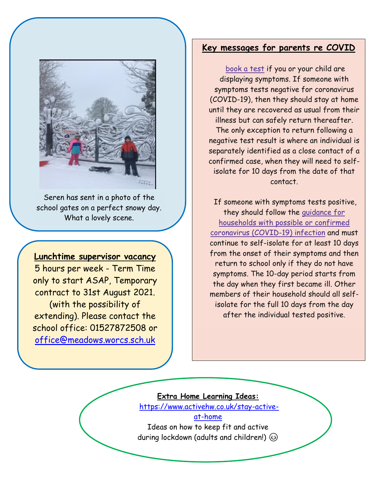

Seren has sent in a photo of the school gates on a perfect snowy day. What a lovely scene.

### **Lunchtime supervisor vacancy**

5 hours per week - Term Time only to start ASAP, Temporary contract to 31st August 2021. (with the possibility of extending). Please contact the school office: 01527872508 or [office@meadows.worcs.sch.uk](mailto:office@meadows.worcs.sch.uk)

## **Key messages for parents re COVID**

[book](https://www.gov.uk/guidance/coronavirus-covid-19-getting-tested) a test if you or your child are displaying symptoms. If someone with symptoms tests negative for coronavirus (COVID-19), then they should stay at home until they are recovered as usual from their illness but can safely return thereafter. The only exception to return following a negative test result is where an individual is separately identified as a close contact of a confirmed case, when they will need to selfisolate for 10 days from the date of that contact.

If someone with symptoms tests positive, they should follow the [guidance](https://www.gov.uk/government/publications/covid-19-stay-at-home-guidance) for [households](https://www.gov.uk/government/publications/covid-19-stay-at-home-guidance) with possible or confirmed coronavirus [\(COVID-19\)](https://www.gov.uk/government/publications/covid-19-stay-at-home-guidance) infection and must continue to self-isolate for at least 10 days from the onset of their symptoms and then return to school only if they do not have symptoms. The 10-day period starts from the day when they first became ill. Other members of their household should all selfisolate for the full 10 days from the day after the individual tested positive.

### **Extra Home Learning Ideas:**

1.

[https://www.activehw.co.uk/stay-active](https://www.activehw.co.uk/stay-active-at-home)[at-home](https://www.activehw.co.uk/stay-active-at-home)

Ideas on how to keep fit and active during lockdown (adults and children!)  $\circledcirc$